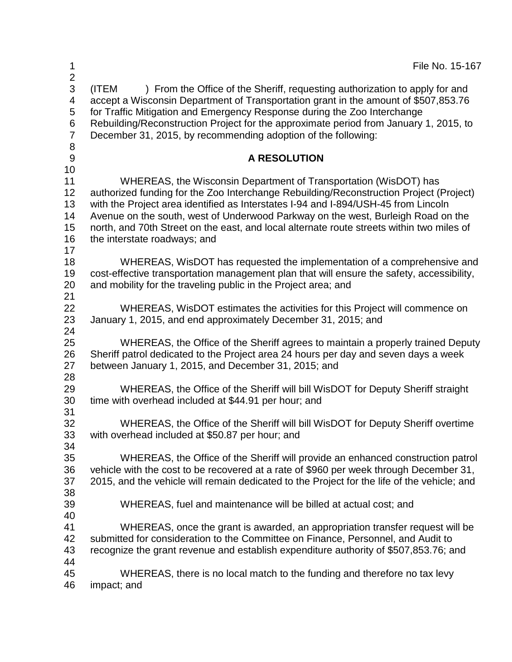| 1<br>$\overline{c}$                                               | File No. 15-167                                                                                                                                                                                                                                                                                                                                                                                                                                                   |
|-------------------------------------------------------------------|-------------------------------------------------------------------------------------------------------------------------------------------------------------------------------------------------------------------------------------------------------------------------------------------------------------------------------------------------------------------------------------------------------------------------------------------------------------------|
| 3<br>$\overline{\mathbf{4}}$<br>5<br>$\,6$<br>$\overline{7}$<br>8 | ) From the Office of the Sheriff, requesting authorization to apply for and<br>(ITEM<br>accept a Wisconsin Department of Transportation grant in the amount of \$507,853.76<br>for Traffic Mitigation and Emergency Response during the Zoo Interchange<br>Rebuilding/Reconstruction Project for the approximate period from January 1, 2015, to<br>December 31, 2015, by recommending adoption of the following:                                                 |
| $\boldsymbol{9}$<br>10                                            | <b>A RESOLUTION</b>                                                                                                                                                                                                                                                                                                                                                                                                                                               |
| 11<br>12<br>13<br>14<br>15<br>16<br>17                            | WHEREAS, the Wisconsin Department of Transportation (WisDOT) has<br>authorized funding for the Zoo Interchange Rebuilding/Reconstruction Project (Project)<br>with the Project area identified as Interstates I-94 and I-894/USH-45 from Lincoln<br>Avenue on the south, west of Underwood Parkway on the west, Burleigh Road on the<br>north, and 70th Street on the east, and local alternate route streets within two miles of<br>the interstate roadways; and |
| 18<br>19<br>20<br>21                                              | WHEREAS, WisDOT has requested the implementation of a comprehensive and<br>cost-effective transportation management plan that will ensure the safety, accessibility,<br>and mobility for the traveling public in the Project area; and                                                                                                                                                                                                                            |
| 22<br>23<br>24                                                    | WHEREAS, WisDOT estimates the activities for this Project will commence on<br>January 1, 2015, and end approximately December 31, 2015; and                                                                                                                                                                                                                                                                                                                       |
| 25<br>26<br>27                                                    | WHEREAS, the Office of the Sheriff agrees to maintain a properly trained Deputy<br>Sheriff patrol dedicated to the Project area 24 hours per day and seven days a week<br>between January 1, 2015, and December 31, 2015; and                                                                                                                                                                                                                                     |
| 28<br>29<br>30                                                    | WHEREAS, the Office of the Sheriff will bill WisDOT for Deputy Sheriff straight<br>time with overhead included at \$44.91 per hour; and                                                                                                                                                                                                                                                                                                                           |
| 31<br>32<br>33<br>34                                              | WHEREAS, the Office of the Sheriff will bill WisDOT for Deputy Sheriff overtime<br>with overhead included at \$50.87 per hour; and                                                                                                                                                                                                                                                                                                                                |
| 35<br>36<br>37<br>38                                              | WHEREAS, the Office of the Sheriff will provide an enhanced construction patrol<br>vehicle with the cost to be recovered at a rate of \$960 per week through December 31,<br>2015, and the vehicle will remain dedicated to the Project for the life of the vehicle; and                                                                                                                                                                                          |
| 39<br>40                                                          | WHEREAS, fuel and maintenance will be billed at actual cost; and                                                                                                                                                                                                                                                                                                                                                                                                  |
| 41<br>42<br>43                                                    | WHEREAS, once the grant is awarded, an appropriation transfer request will be<br>submitted for consideration to the Committee on Finance, Personnel, and Audit to<br>recognize the grant revenue and establish expenditure authority of \$507,853.76; and                                                                                                                                                                                                         |
| 44<br>45<br>46                                                    | WHEREAS, there is no local match to the funding and therefore no tax levy<br>impact; and                                                                                                                                                                                                                                                                                                                                                                          |